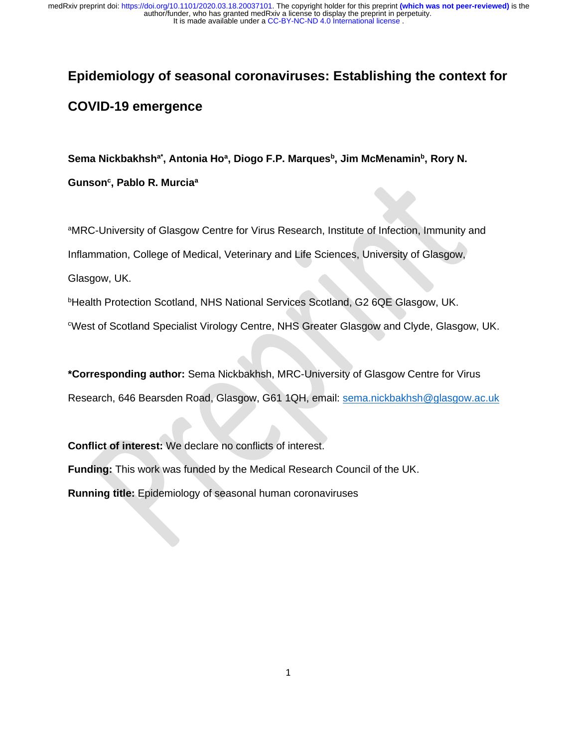# **Epidemiology of seasonal coronaviruses: Establishing the context for COVID-19 emergence**

**Sema Nickbakhsha\* , Antonia Ho<sup>a</sup> , Diogo F.P. Marques<sup>b</sup> , Jim McMenamin<sup>b</sup> , Rory N.** 

**Gunson<sup>c</sup> , Pablo R. Murcia<sup>a</sup>**

aMRC-University of Glasgow Centre for Virus Research, Institute of Infection, Immunity and Inflammation, College of Medical, Veterinary and Life Sciences, University of Glasgow, Glasgow, UK.

**bHealth Protection Scotland, NHS National Services Scotland, G2 6QE Glasgow, UK.** 

<sup>c</sup>West of Scotland Specialist Virology Centre, NHS Greater Glasgow and Clyde, Glasgow, UK.

**\*Corresponding author:** Sema Nickbakhsh, MRC-University of Glasgow Centre for Virus Research, 646 Bearsden Road, Glasgow, G61 1QH, email: [sema.nickbakhsh@glasgow.ac.uk](mailto:sema.nickbakhsh@glasgow.ac.uk)

**Conflict of interest:** We declare no conflicts of interest.

**Funding:** This work was funded by the Medical Research Council of the UK.

**Running title:** Epidemiology of seasonal human coronaviruses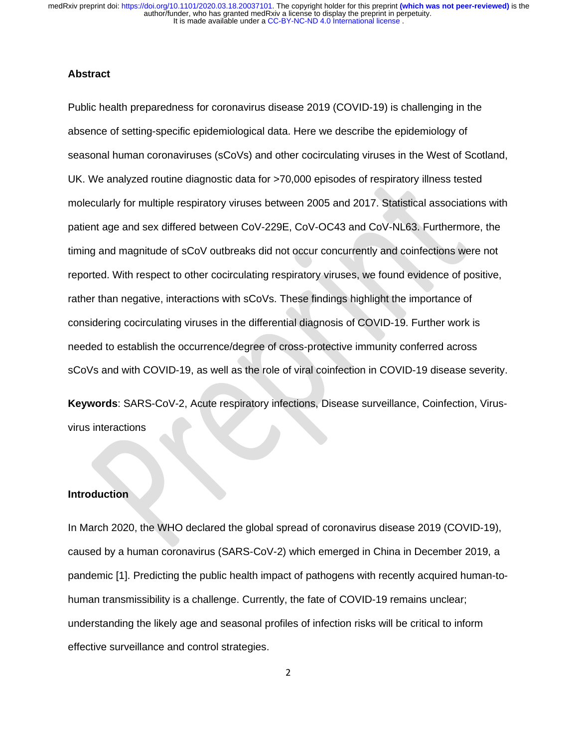#### **Abstract**

Public health preparedness for coronavirus disease 2019 (COVID-19) is challenging in the absence of setting-specific epidemiological data. Here we describe the epidemiology of seasonal human coronaviruses (sCoVs) and other cocirculating viruses in the West of Scotland, UK. We analyzed routine diagnostic data for >70,000 episodes of respiratory illness tested molecularly for multiple respiratory viruses between 2005 and 2017. Statistical associations with patient age and sex differed between CoV-229E, CoV-OC43 and CoV-NL63. Furthermore, the timing and magnitude of sCoV outbreaks did not occur concurrently and coinfections were not reported. With respect to other cocirculating respiratory viruses, we found evidence of positive, rather than negative, interactions with sCoVs. These findings highlight the importance of considering cocirculating viruses in the differential diagnosis of COVID-19. Further work is needed to establish the occurrence/degree of cross-protective immunity conferred across sCoVs and with COVID-19, as well as the role of viral coinfection in COVID-19 disease severity.

**Keywords**: SARS-CoV-2, Acute respiratory infections, Disease surveillance, Coinfection, Virusvirus interactions

### **Introduction**

In March 2020, the WHO declared the global spread of coronavirus disease 2019 (COVID-19), caused by a human coronavirus (SARS-CoV-2) which emerged in China in December 2019, a pandemic [1]. Predicting the public health impact of pathogens with recently acquired human-tohuman transmissibility is a challenge. Currently, the fate of COVID-19 remains unclear; understanding the likely age and seasonal profiles of infection risks will be critical to inform effective surveillance and control strategies.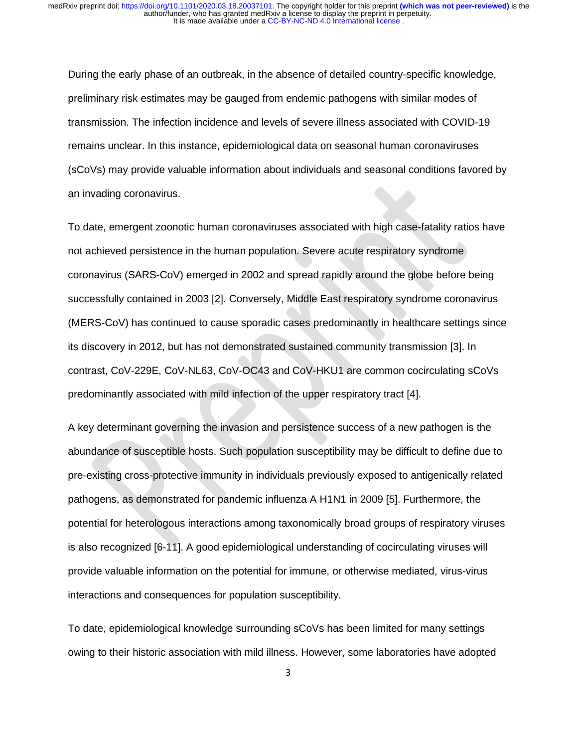During the early phase of an outbreak, in the absence of detailed country-specific knowledge, preliminary risk estimates may be gauged from endemic pathogens with similar modes of transmission. The infection incidence and levels of severe illness associated with COVID-19 remains unclear. In this instance, epidemiological data on seasonal human coronaviruses (sCoVs) may provide valuable information about individuals and seasonal conditions favored by an invading coronavirus.

To date, emergent zoonotic human coronaviruses associated with high case-fatality ratios have not achieved persistence in the human population. Severe acute respiratory syndrome coronavirus (SARS-CoV) emerged in 2002 and spread rapidly around the globe before being successfully contained in 2003 [2]. Conversely, Middle East respiratory syndrome coronavirus (MERS-CoV) has continued to cause sporadic cases predominantly in healthcare settings since its discovery in 2012, but has not demonstrated sustained community transmission [3]. In contrast, CoV-229E, CoV-NL63, CoV-OC43 and CoV-HKU1 are common cocirculating sCoVs predominantly associated with mild infection of the upper respiratory tract [4].

A key determinant governing the invasion and persistence success of a new pathogen is the abundance of susceptible hosts. Such population susceptibility may be difficult to define due to pre-existing cross-protective immunity in individuals previously exposed to antigenically related pathogens, as demonstrated for pandemic influenza A H1N1 in 2009 [5]. Furthermore, the potential for heterologous interactions among taxonomically broad groups of respiratory viruses is also recognized [6-11]. A good epidemiological understanding of cocirculating viruses will provide valuable information on the potential for immune, or otherwise mediated, virus-virus interactions and consequences for population susceptibility.

To date, epidemiological knowledge surrounding sCoVs has been limited for many settings owing to their historic association with mild illness. However, some laboratories have adopted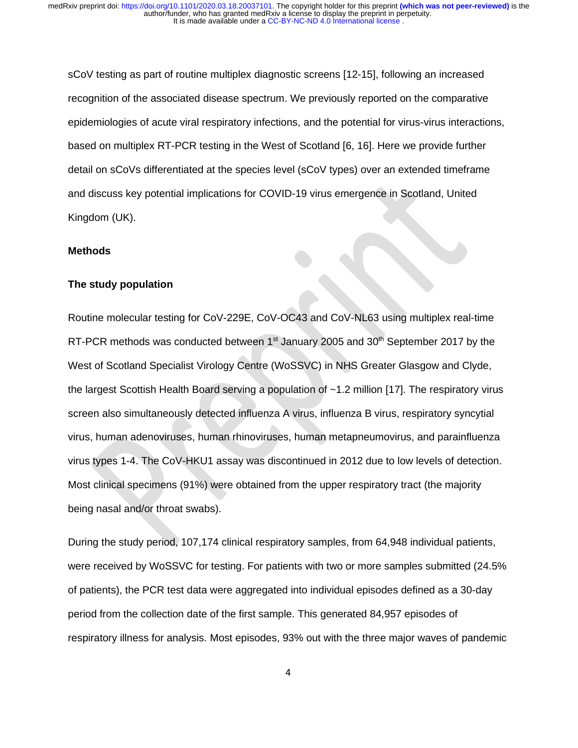sCoV testing as part of routine multiplex diagnostic screens [12-15], following an increased recognition of the associated disease spectrum. We previously reported on the comparative epidemiologies of acute viral respiratory infections, and the potential for virus-virus interactions, based on multiplex RT-PCR testing in the West of Scotland [6, 16]. Here we provide further detail on sCoVs differentiated at the species level (sCoV types) over an extended timeframe and discuss key potential implications for COVID-19 virus emergence in Scotland, United Kingdom (UK).

#### **Methods**

#### **The study population**

Routine molecular testing for CoV-229E, CoV-OC43 and CoV-NL63 using multiplex real-time RT-PCR methods was conducted between  $1<sup>st</sup>$  January 2005 and  $30<sup>th</sup>$  September 2017 by the West of Scotland Specialist Virology Centre (WoSSVC) in NHS Greater Glasgow and Clyde, the largest Scottish Health Board serving a population of ~1.2 million [17]. The respiratory virus screen also simultaneously detected influenza A virus, influenza B virus, respiratory syncytial virus, human adenoviruses, human rhinoviruses, human metapneumovirus, and parainfluenza virus types 1-4. The CoV-HKU1 assay was discontinued in 2012 due to low levels of detection. Most clinical specimens (91%) were obtained from the upper respiratory tract (the majority being nasal and/or throat swabs).

During the study period, 107,174 clinical respiratory samples, from 64,948 individual patients, were received by WoSSVC for testing. For patients with two or more samples submitted (24.5% of patients), the PCR test data were aggregated into individual episodes defined as a 30-day period from the collection date of the first sample. This generated 84,957 episodes of respiratory illness for analysis. Most episodes, 93% out with the three major waves of pandemic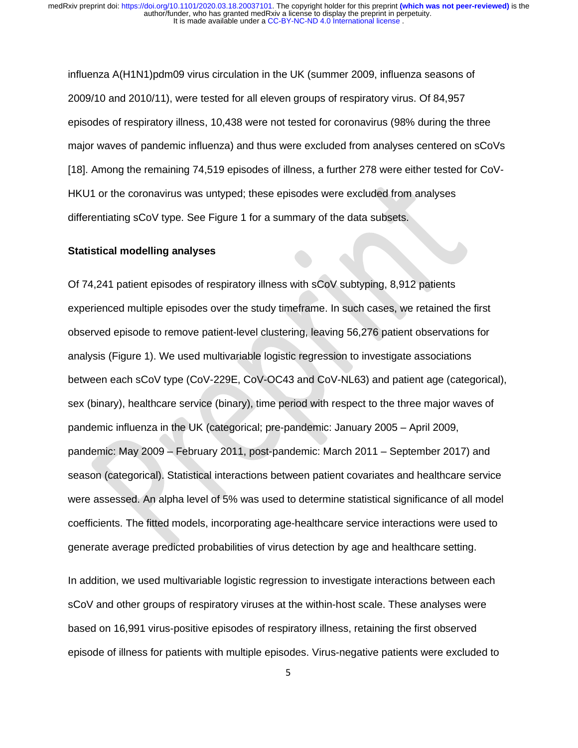influenza A(H1N1)pdm09 virus circulation in the UK (summer 2009, influenza seasons of 2009/10 and 2010/11), were tested for all eleven groups of respiratory virus. Of 84,957 episodes of respiratory illness, 10,438 were not tested for coronavirus (98% during the three major waves of pandemic influenza) and thus were excluded from analyses centered on sCoVs [18]. Among the remaining 74,519 episodes of illness, a further 278 were either tested for CoV-HKU1 or the coronavirus was untyped; these episodes were excluded from analyses differentiating sCoV type. See Figure 1 for a summary of the data subsets.

#### **Statistical modelling analyses**

Of 74,241 patient episodes of respiratory illness with sCoV subtyping, 8,912 patients experienced multiple episodes over the study timeframe. In such cases, we retained the first observed episode to remove patient-level clustering, leaving 56,276 patient observations for analysis (Figure 1). We used multivariable logistic regression to investigate associations between each sCoV type (CoV-229E, CoV-OC43 and CoV-NL63) and patient age (categorical), sex (binary), healthcare service (binary), time period with respect to the three major waves of pandemic influenza in the UK (categorical; pre-pandemic: January 2005 – April 2009, pandemic: May 2009 – February 2011, post-pandemic: March 2011 – September 2017) and season (categorical). Statistical interactions between patient covariates and healthcare service were assessed. An alpha level of 5% was used to determine statistical significance of all model coefficients. The fitted models, incorporating age-healthcare service interactions were used to generate average predicted probabilities of virus detection by age and healthcare setting.

In addition, we used multivariable logistic regression to investigate interactions between each sCoV and other groups of respiratory viruses at the within-host scale. These analyses were based on 16,991 virus-positive episodes of respiratory illness, retaining the first observed episode of illness for patients with multiple episodes. Virus-negative patients were excluded to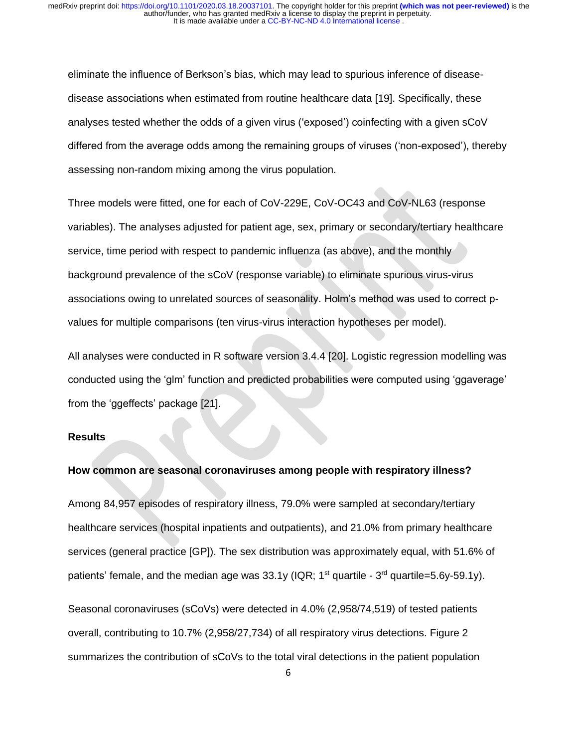eliminate the influence of Berkson's bias, which may lead to spurious inference of diseasedisease associations when estimated from routine healthcare data [19]. Specifically, these analyses tested whether the odds of a given virus ('exposed') coinfecting with a given sCoV differed from the average odds among the remaining groups of viruses ('non-exposed'), thereby assessing non-random mixing among the virus population.

Three models were fitted, one for each of CoV-229E, CoV-OC43 and CoV-NL63 (response variables). The analyses adjusted for patient age, sex, primary or secondary/tertiary healthcare service, time period with respect to pandemic influenza (as above), and the monthly background prevalence of the sCoV (response variable) to eliminate spurious virus-virus associations owing to unrelated sources of seasonality. Holm's method was used to correct pvalues for multiple comparisons (ten virus-virus interaction hypotheses per model).

All analyses were conducted in R software version 3.4.4 [20]. Logistic regression modelling was conducted using the 'glm' function and predicted probabilities were computed using 'ggaverage' from the 'ggeffects' package [21].

#### **Results**

#### **How common are seasonal coronaviruses among people with respiratory illness?**

Among 84,957 episodes of respiratory illness, 79.0% were sampled at secondary/tertiary healthcare services (hospital inpatients and outpatients), and 21.0% from primary healthcare services (general practice [GP]). The sex distribution was approximately equal, with 51.6% of patients' female, and the median age was  $33.1y$  (IQR;  $1<sup>st</sup>$  quartile -  $3<sup>rd</sup>$  quartile=5.6y-59.1y).

Seasonal coronaviruses (sCoVs) were detected in 4.0% (2,958/74,519) of tested patients overall, contributing to 10.7% (2,958/27,734) of all respiratory virus detections. Figure 2 summarizes the contribution of sCoVs to the total viral detections in the patient population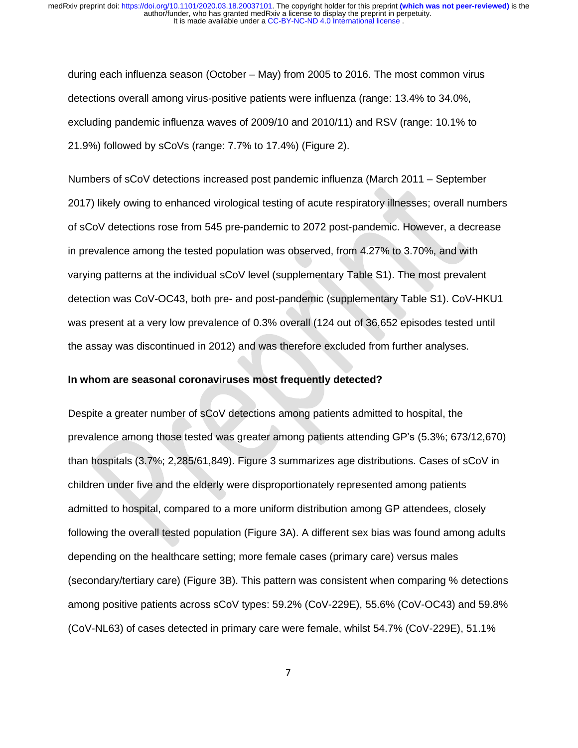during each influenza season (October – May) from 2005 to 2016. The most common virus detections overall among virus-positive patients were influenza (range: 13.4% to 34.0%, excluding pandemic influenza waves of 2009/10 and 2010/11) and RSV (range: 10.1% to 21.9%) followed by sCoVs (range: 7.7% to 17.4%) (Figure 2).

Numbers of sCoV detections increased post pandemic influenza (March 2011 – September 2017) likely owing to enhanced virological testing of acute respiratory illnesses; overall numbers of sCoV detections rose from 545 pre-pandemic to 2072 post-pandemic. However, a decrease in prevalence among the tested population was observed, from 4.27% to 3.70%, and with varying patterns at the individual sCoV level (supplementary Table S1). The most prevalent detection was CoV-OC43, both pre- and post-pandemic (supplementary Table S1). CoV-HKU1 was present at a very low prevalence of 0.3% overall (124 out of 36,652 episodes tested until the assay was discontinued in 2012) and was therefore excluded from further analyses.

#### **In whom are seasonal coronaviruses most frequently detected?**

Despite a greater number of sCoV detections among patients admitted to hospital, the prevalence among those tested was greater among patients attending GP's (5.3%; 673/12,670) than hospitals (3.7%; 2,285/61,849). Figure 3 summarizes age distributions. Cases of sCoV in children under five and the elderly were disproportionately represented among patients admitted to hospital, compared to a more uniform distribution among GP attendees, closely following the overall tested population (Figure 3A). A different sex bias was found among adults depending on the healthcare setting; more female cases (primary care) versus males (secondary/tertiary care) (Figure 3B). This pattern was consistent when comparing % detections among positive patients across sCoV types: 59.2% (CoV-229E), 55.6% (CoV-OC43) and 59.8% (CoV-NL63) of cases detected in primary care were female, whilst 54.7% (CoV-229E), 51.1%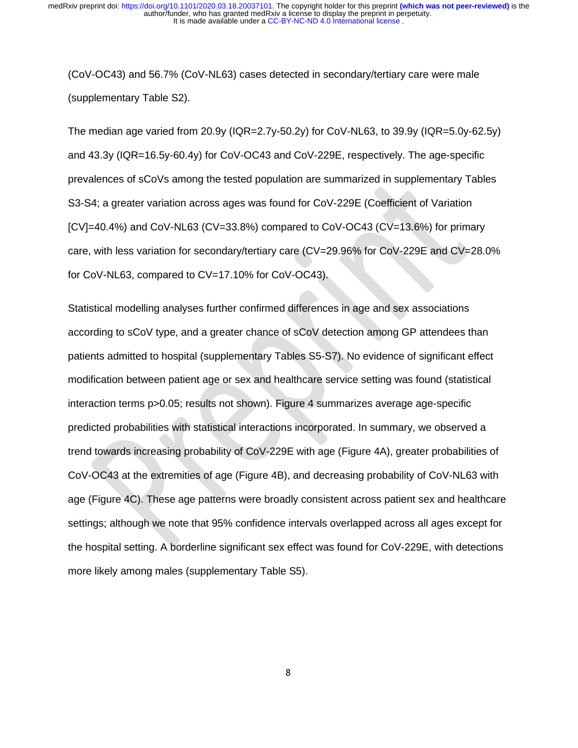(CoV-OC43) and 56.7% (CoV-NL63) cases detected in secondary/tertiary care were male (supplementary Table S2).

The median age varied from 20.9y (IQR=2.7y-50.2y) for CoV-NL63, to 39.9y (IQR=5.0y-62.5y) and 43.3y (IQR=16.5y-60.4y) for CoV-OC43 and CoV-229E, respectively. The age-specific prevalences of sCoVs among the tested population are summarized in supplementary Tables S3-S4; a greater variation across ages was found for CoV-229E (Coefficient of Variation [CV]=40.4%) and CoV-NL63 (CV=33.8%) compared to CoV-OC43 (CV=13.6%) for primary care, with less variation for secondary/tertiary care (CV=29.96% for CoV-229E and CV=28.0% for CoV-NL63, compared to CV=17.10% for CoV-OC43).

Statistical modelling analyses further confirmed differences in age and sex associations according to sCoV type, and a greater chance of sCoV detection among GP attendees than patients admitted to hospital (supplementary Tables S5-S7). No evidence of significant effect modification between patient age or sex and healthcare service setting was found (statistical interaction terms p>0.05; results not shown). Figure 4 summarizes average age-specific predicted probabilities with statistical interactions incorporated. In summary, we observed a trend towards increasing probability of CoV-229E with age (Figure 4A), greater probabilities of CoV-OC43 at the extremities of age (Figure 4B), and decreasing probability of CoV-NL63 with age (Figure 4C). These age patterns were broadly consistent across patient sex and healthcare settings; although we note that 95% confidence intervals overlapped across all ages except for the hospital setting. A borderline significant sex effect was found for CoV-229E, with detections more likely among males (supplementary Table S5).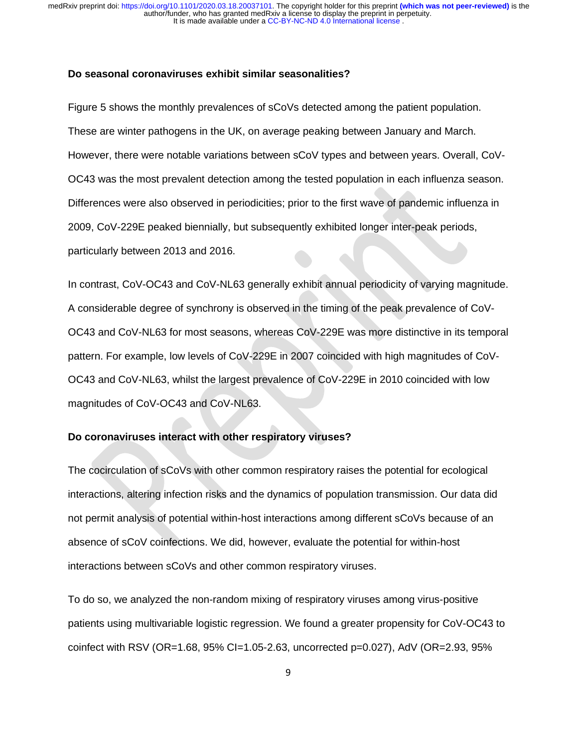#### **Do seasonal coronaviruses exhibit similar seasonalities?**

Figure 5 shows the monthly prevalences of sCoVs detected among the patient population. These are winter pathogens in the UK, on average peaking between January and March. However, there were notable variations between sCoV types and between years. Overall, CoV-OC43 was the most prevalent detection among the tested population in each influenza season. Differences were also observed in periodicities; prior to the first wave of pandemic influenza in 2009, CoV-229E peaked biennially, but subsequently exhibited longer inter-peak periods, particularly between 2013 and 2016.

In contrast, CoV-OC43 and CoV-NL63 generally exhibit annual periodicity of varying magnitude. A considerable degree of synchrony is observed in the timing of the peak prevalence of CoV-OC43 and CoV-NL63 for most seasons, whereas CoV-229E was more distinctive in its temporal pattern. For example, low levels of CoV-229E in 2007 coincided with high magnitudes of CoV-OC43 and CoV-NL63, whilst the largest prevalence of CoV-229E in 2010 coincided with low magnitudes of CoV-OC43 and CoV-NL63.

### **Do coronaviruses interact with other respiratory viruses?**

The cocirculation of sCoVs with other common respiratory raises the potential for ecological interactions, altering infection risks and the dynamics of population transmission. Our data did not permit analysis of potential within-host interactions among different sCoVs because of an absence of sCoV coinfections. We did, however, evaluate the potential for within-host interactions between sCoVs and other common respiratory viruses.

To do so, we analyzed the non-random mixing of respiratory viruses among virus-positive patients using multivariable logistic regression. We found a greater propensity for CoV-OC43 to coinfect with RSV (OR=1.68, 95% CI=1.05-2.63, uncorrected  $p=0.027$ ), AdV (OR=2.93, 95%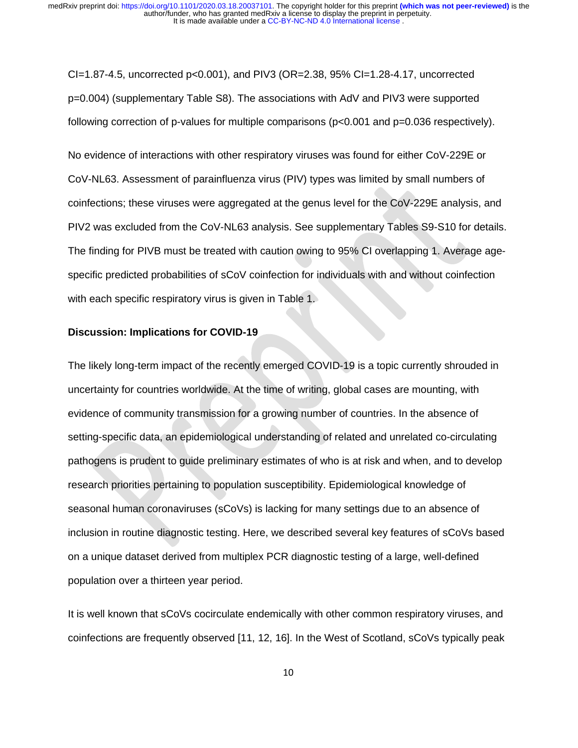CI=1.87-4.5, uncorrected  $p<0.001$ , and PIV3 (OR=2.38, 95% CI=1.28-4.17, uncorrected p=0.004) (supplementary Table S8). The associations with AdV and PIV3 were supported following correction of p-values for multiple comparisons ( $p<0.001$  and  $p=0.036$  respectively).

No evidence of interactions with other respiratory viruses was found for either CoV-229E or CoV-NL63. Assessment of parainfluenza virus (PIV) types was limited by small numbers of coinfections; these viruses were aggregated at the genus level for the CoV-229E analysis, and PIV2 was excluded from the CoV-NL63 analysis. See supplementary Tables S9-S10 for details. The finding for PIVB must be treated with caution owing to 95% CI overlapping 1. Average agespecific predicted probabilities of sCoV coinfection for individuals with and without coinfection with each specific respiratory virus is given in Table 1.

#### **Discussion: Implications for COVID-19**

The likely long-term impact of the recently emerged COVID-19 is a topic currently shrouded in uncertainty for countries worldwide. At the time of writing, global cases are mounting, with evidence of community transmission for a growing number of countries. In the absence of setting-specific data, an epidemiological understanding of related and unrelated co-circulating pathogens is prudent to guide preliminary estimates of who is at risk and when, and to develop research priorities pertaining to population susceptibility. Epidemiological knowledge of seasonal human coronaviruses (sCoVs) is lacking for many settings due to an absence of inclusion in routine diagnostic testing. Here, we described several key features of sCoVs based on a unique dataset derived from multiplex PCR diagnostic testing of a large, well-defined population over a thirteen year period.

It is well known that sCoVs cocirculate endemically with other common respiratory viruses, and coinfections are frequently observed [11, 12, 16]. In the West of Scotland, sCoVs typically peak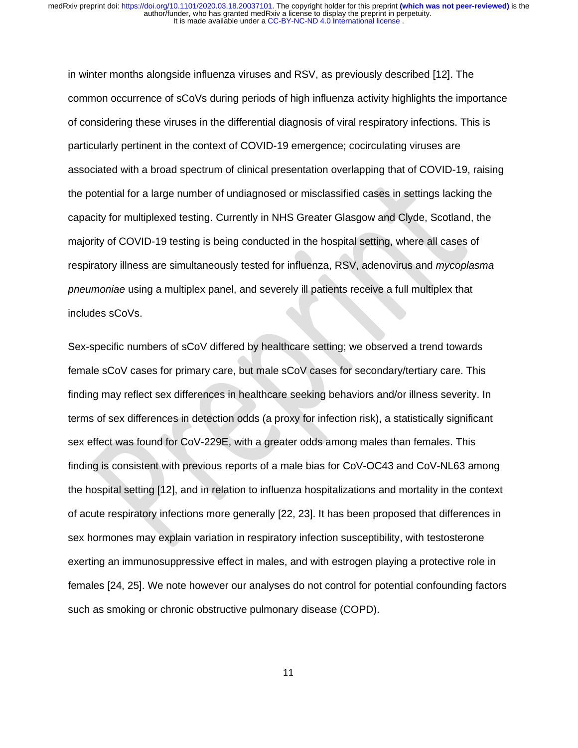in winter months alongside influenza viruses and RSV, as previously described [12]. The common occurrence of sCoVs during periods of high influenza activity highlights the importance of considering these viruses in the differential diagnosis of viral respiratory infections. This is particularly pertinent in the context of COVID-19 emergence; cocirculating viruses are associated with a broad spectrum of clinical presentation overlapping that of COVID-19, raising the potential for a large number of undiagnosed or misclassified cases in settings lacking the capacity for multiplexed testing. Currently in NHS Greater Glasgow and Clyde, Scotland, the majority of COVID-19 testing is being conducted in the hospital setting, where all cases of respiratory illness are simultaneously tested for influenza, RSV, adenovirus and *mycoplasma pneumoniae* using a multiplex panel, and severely ill patients receive a full multiplex that includes sCoVs.

Sex-specific numbers of sCoV differed by healthcare setting; we observed a trend towards female sCoV cases for primary care, but male sCoV cases for secondary/tertiary care. This finding may reflect sex differences in healthcare seeking behaviors and/or illness severity. In terms of sex differences in detection odds (a proxy for infection risk), a statistically significant sex effect was found for CoV-229E, with a greater odds among males than females. This finding is consistent with previous reports of a male bias for CoV-OC43 and CoV-NL63 among the hospital setting [12], and in relation to influenza hospitalizations and mortality in the context of acute respiratory infections more generally [22, 23]. It has been proposed that differences in sex hormones may explain variation in respiratory infection susceptibility, with testosterone exerting an immunosuppressive effect in males, and with estrogen playing a protective role in females [24, 25]. We note however our analyses do not control for potential confounding factors such as smoking or chronic obstructive pulmonary disease (COPD).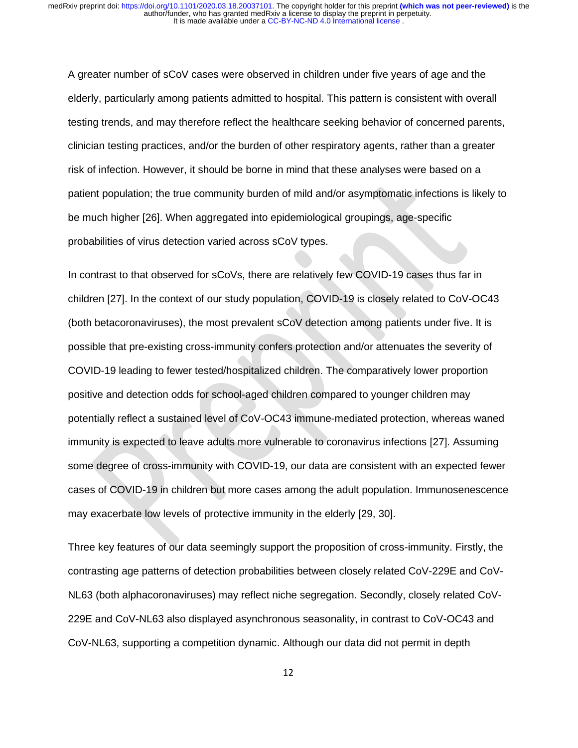A greater number of sCoV cases were observed in children under five years of age and the elderly, particularly among patients admitted to hospital. This pattern is consistent with overall testing trends, and may therefore reflect the healthcare seeking behavior of concerned parents, clinician testing practices, and/or the burden of other respiratory agents, rather than a greater risk of infection. However, it should be borne in mind that these analyses were based on a patient population; the true community burden of mild and/or asymptomatic infections is likely to be much higher [26]. When aggregated into epidemiological groupings, age-specific probabilities of virus detection varied across sCoV types.

In contrast to that observed for sCoVs, there are relatively few COVID-19 cases thus far in children [27]. In the context of our study population, COVID-19 is closely related to CoV-OC43 (both betacoronaviruses), the most prevalent sCoV detection among patients under five. It is possible that pre-existing cross-immunity confers protection and/or attenuates the severity of COVID-19 leading to fewer tested/hospitalized children. The comparatively lower proportion positive and detection odds for school-aged children compared to younger children may potentially reflect a sustained level of CoV-OC43 immune-mediated protection, whereas waned immunity is expected to leave adults more vulnerable to coronavirus infections [27]. Assuming some degree of cross-immunity with COVID-19, our data are consistent with an expected fewer cases of COVID-19 in children but more cases among the adult population. Immunosenescence may exacerbate low levels of protective immunity in the elderly [29, 30].

Three key features of our data seemingly support the proposition of cross-immunity. Firstly, the contrasting age patterns of detection probabilities between closely related CoV-229E and CoV-NL63 (both alphacoronaviruses) may reflect niche segregation. Secondly, closely related CoV-229E and CoV-NL63 also displayed asynchronous seasonality, in contrast to CoV-OC43 and CoV-NL63, supporting a competition dynamic. Although our data did not permit in depth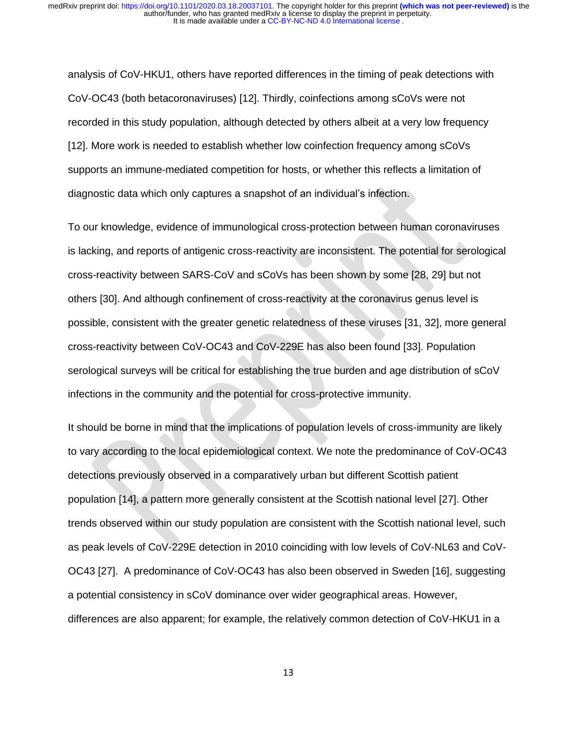analysis of CoV-HKU1, others have reported differences in the timing of peak detections with CoV-OC43 (both betacoronaviruses) [12]. Thirdly, coinfections among sCoVs were not recorded in this study population, although detected by others albeit at a very low frequency [12]. More work is needed to establish whether low coinfection frequency among sCoVs supports an immune-mediated competition for hosts, or whether this reflects a limitation of diagnostic data which only captures a snapshot of an individual's infection.

To our knowledge, evidence of immunological cross-protection between human coronaviruses is lacking, and reports of antigenic cross-reactivity are inconsistent. The potential for serological cross-reactivity between SARS-CoV and sCoVs has been shown by some [28, 29] but not others [30]. And although confinement of cross-reactivity at the coronavirus genus level is possible, consistent with the greater genetic relatedness of these viruses [31, 32], more general cross-reactivity between CoV-OC43 and CoV-229E has also been found [33]. Population serological surveys will be critical for establishing the true burden and age distribution of sCoV infections in the community and the potential for cross-protective immunity.

It should be borne in mind that the implications of population levels of cross-immunity are likely to vary according to the local epidemiological context. We note the predominance of CoV-OC43 detections previously observed in a comparatively urban but different Scottish patient population [14], a pattern more generally consistent at the Scottish national level [27]. Other trends observed within our study population are consistent with the Scottish national level, such as peak levels of CoV-229E detection in 2010 coinciding with low levels of CoV-NL63 and CoV-OC43 [27]. A predominance of CoV-OC43 has also been observed in Sweden [16], suggesting a potential consistency in sCoV dominance over wider geographical areas. However, differences are also apparent; for example, the relatively common detection of CoV-HKU1 in a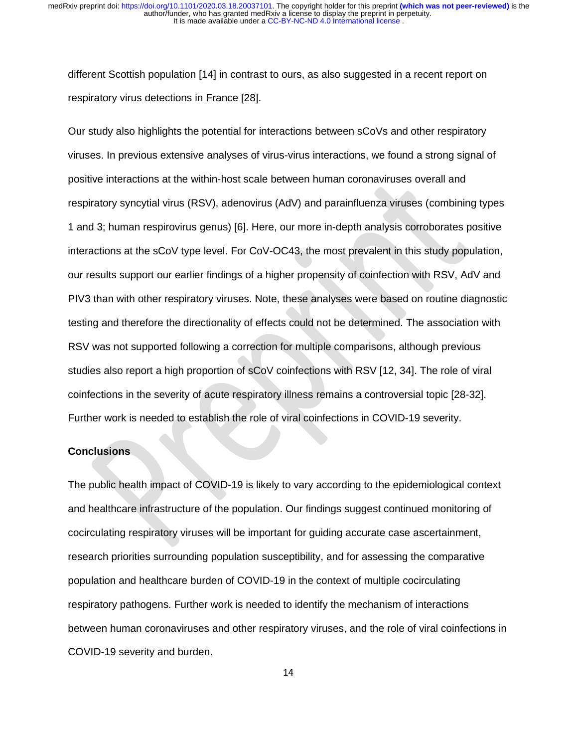different Scottish population [14] in contrast to ours, as also suggested in a recent report on respiratory virus detections in France [28].

Our study also highlights the potential for interactions between sCoVs and other respiratory viruses. In previous extensive analyses of virus-virus interactions, we found a strong signal of positive interactions at the within-host scale between human coronaviruses overall and respiratory syncytial virus (RSV), adenovirus (AdV) and parainfluenza viruses (combining types 1 and 3; human respirovirus genus) [6]. Here, our more in-depth analysis corroborates positive interactions at the sCoV type level. For CoV-OC43, the most prevalent in this study population, our results support our earlier findings of a higher propensity of coinfection with RSV, AdV and PIV3 than with other respiratory viruses. Note, these analyses were based on routine diagnostic testing and therefore the directionality of effects could not be determined. The association with RSV was not supported following a correction for multiple comparisons, although previous studies also report a high proportion of sCoV coinfections with RSV [12, 34]. The role of viral coinfections in the severity of acute respiratory illness remains a controversial topic [28-32]. Further work is needed to establish the role of viral coinfections in COVID-19 severity.

#### **Conclusions**

The public health impact of COVID-19 is likely to vary according to the epidemiological context and healthcare infrastructure of the population. Our findings suggest continued monitoring of cocirculating respiratory viruses will be important for guiding accurate case ascertainment, research priorities surrounding population susceptibility, and for assessing the comparative population and healthcare burden of COVID-19 in the context of multiple cocirculating respiratory pathogens. Further work is needed to identify the mechanism of interactions between human coronaviruses and other respiratory viruses, and the role of viral coinfections in COVID-19 severity and burden.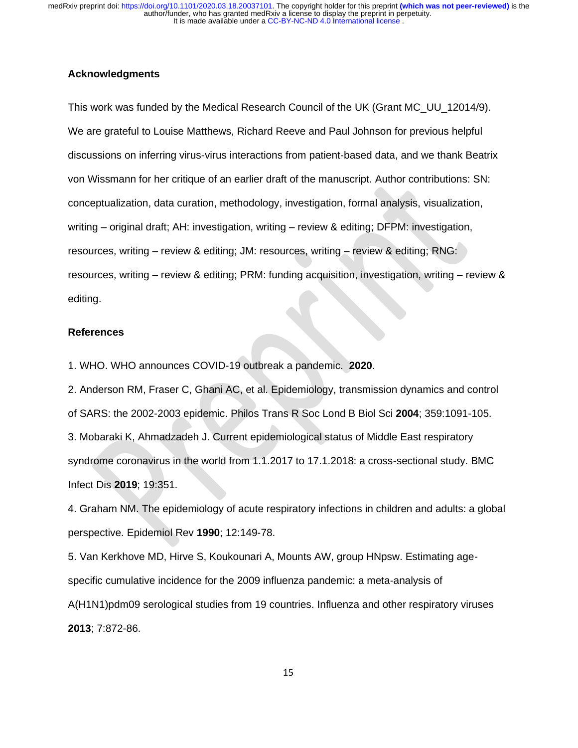### **Acknowledgments**

This work was funded by the Medical Research Council of the UK (Grant MC\_UU\_12014/9). We are grateful to Louise Matthews, Richard Reeve and Paul Johnson for previous helpful discussions on inferring virus-virus interactions from patient-based data, and we thank Beatrix von Wissmann for her critique of an earlier draft of the manuscript. Author contributions: SN: conceptualization, data curation, methodology, investigation, formal analysis, visualization, writing – original draft; AH: investigation, writing – review & editing; DFPM: investigation, resources, writing – review & editing; JM: resources, writing – review & editing; RNG: resources, writing – review & editing; PRM: funding acquisition, investigation, writing – review & editing.

#### **References**

1. WHO. WHO announces COVID-19 outbreak a pandemic. **2020**.

2. Anderson RM, Fraser C, Ghani AC, et al. Epidemiology, transmission dynamics and control of SARS: the 2002-2003 epidemic. Philos Trans R Soc Lond B Biol Sci **2004**; 359:1091-105. 3. Mobaraki K, Ahmadzadeh J. Current epidemiological status of Middle East respiratory syndrome coronavirus in the world from 1.1.2017 to 17.1.2018: a cross-sectional study. BMC Infect Dis **2019**; 19:351.

4. Graham NM. The epidemiology of acute respiratory infections in children and adults: a global perspective. Epidemiol Rev **1990**; 12:149-78.

5. Van Kerkhove MD, Hirve S, Koukounari A, Mounts AW, group HNpsw. Estimating agespecific cumulative incidence for the 2009 influenza pandemic: a meta-analysis of A(H1N1)pdm09 serological studies from 19 countries. Influenza and other respiratory viruses **2013**; 7:872-86.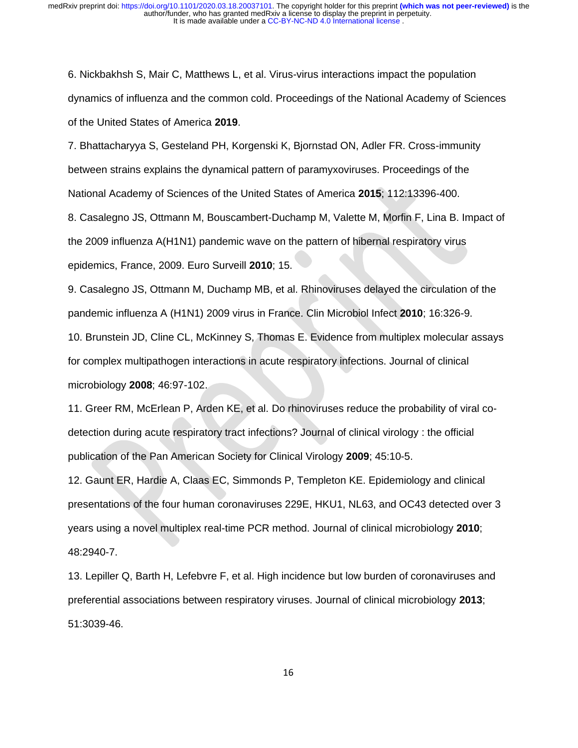6. Nickbakhsh S, Mair C, Matthews L, et al. Virus-virus interactions impact the population dynamics of influenza and the common cold. Proceedings of the National Academy of Sciences of the United States of America **2019**.

7. Bhattacharyya S, Gesteland PH, Korgenski K, Bjornstad ON, Adler FR. Cross-immunity between strains explains the dynamical pattern of paramyxoviruses. Proceedings of the National Academy of Sciences of the United States of America **2015**; 112:13396-400.

8. Casalegno JS, Ottmann M, Bouscambert-Duchamp M, Valette M, Morfin F, Lina B. Impact of the 2009 influenza A(H1N1) pandemic wave on the pattern of hibernal respiratory virus epidemics, France, 2009. Euro Surveill **2010**; 15.

9. Casalegno JS, Ottmann M, Duchamp MB, et al. Rhinoviruses delayed the circulation of the pandemic influenza A (H1N1) 2009 virus in France. Clin Microbiol Infect **2010**; 16:326-9.

10. Brunstein JD, Cline CL, McKinney S, Thomas E. Evidence from multiplex molecular assays for complex multipathogen interactions in acute respiratory infections. Journal of clinical microbiology **2008**; 46:97-102.

11. Greer RM, McErlean P, Arden KE, et al. Do rhinoviruses reduce the probability of viral codetection during acute respiratory tract infections? Journal of clinical virology : the official publication of the Pan American Society for Clinical Virology **2009**; 45:10-5.

12. Gaunt ER, Hardie A, Claas EC, Simmonds P, Templeton KE. Epidemiology and clinical presentations of the four human coronaviruses 229E, HKU1, NL63, and OC43 detected over 3 years using a novel multiplex real-time PCR method. Journal of clinical microbiology **2010**; 48:2940-7.

13. Lepiller Q, Barth H, Lefebvre F, et al. High incidence but low burden of coronaviruses and preferential associations between respiratory viruses. Journal of clinical microbiology **2013**; 51:3039-46.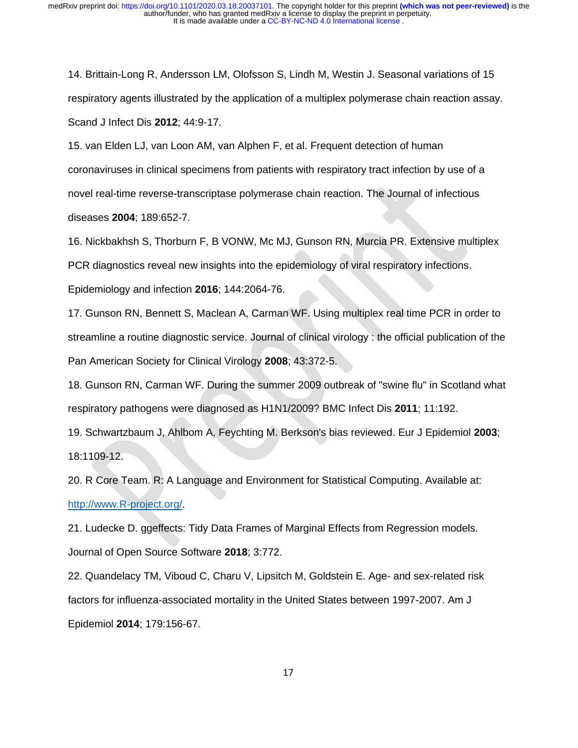14. Brittain-Long R, Andersson LM, Olofsson S, Lindh M, Westin J. Seasonal variations of 15 respiratory agents illustrated by the application of a multiplex polymerase chain reaction assay. Scand J Infect Dis **2012**; 44:9-17.

15. van Elden LJ, van Loon AM, van Alphen F, et al. Frequent detection of human coronaviruses in clinical specimens from patients with respiratory tract infection by use of a novel real-time reverse-transcriptase polymerase chain reaction. The Journal of infectious diseases **2004**; 189:652-7.

16. Nickbakhsh S, Thorburn F, B VONW, Mc MJ, Gunson RN, Murcia PR. Extensive multiplex PCR diagnostics reveal new insights into the epidemiology of viral respiratory infections.

Epidemiology and infection **2016**; 144:2064-76.

17. Gunson RN, Bennett S, Maclean A, Carman WF. Using multiplex real time PCR in order to streamline a routine diagnostic service. Journal of clinical virology : the official publication of the Pan American Society for Clinical Virology **2008**; 43:372-5.

18. Gunson RN, Carman WF. During the summer 2009 outbreak of "swine flu" in Scotland what respiratory pathogens were diagnosed as H1N1/2009? BMC Infect Dis **2011**; 11:192.

19. Schwartzbaum J, Ahlbom A, Feychting M. Berkson's bias reviewed. Eur J Epidemiol **2003**; 18:1109-12.

20. R Core Team. R: A Language and Environment for Statistical Computing. Available at: [http://www.R-project.org/.](http://www.r-project.org/)

21. Ludecke D. ggeffects: Tidy Data Frames of Marginal Effects from Regression models. Journal of Open Source Software **2018**; 3:772.

22. Quandelacy TM, Viboud C, Charu V, Lipsitch M, Goldstein E. Age- and sex-related risk factors for influenza-associated mortality in the United States between 1997-2007. Am J Epidemiol **2014**; 179:156-67.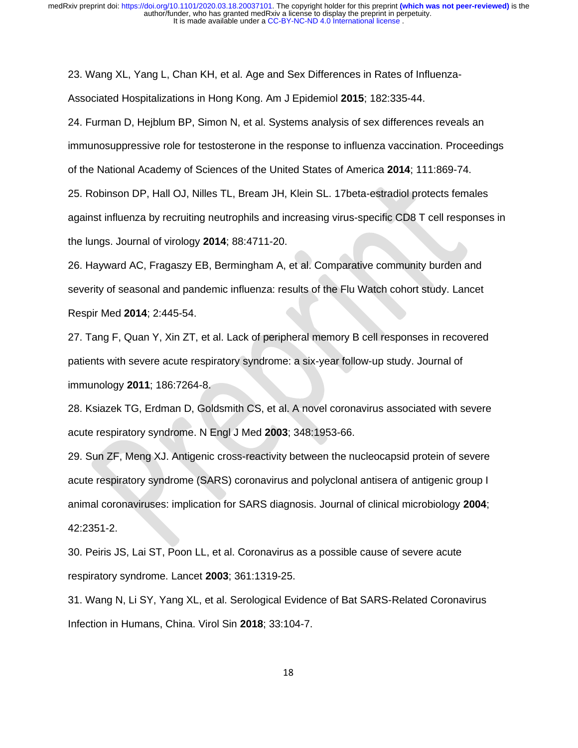23. Wang XL, Yang L, Chan KH, et al. Age and Sex Differences in Rates of Influenza-Associated Hospitalizations in Hong Kong. Am J Epidemiol **2015**; 182:335-44.

24. Furman D, Hejblum BP, Simon N, et al. Systems analysis of sex differences reveals an immunosuppressive role for testosterone in the response to influenza vaccination. Proceedings of the National Academy of Sciences of the United States of America **2014**; 111:869-74.

25. Robinson DP, Hall OJ, Nilles TL, Bream JH, Klein SL. 17beta-estradiol protects females against influenza by recruiting neutrophils and increasing virus-specific CD8 T cell responses in the lungs. Journal of virology **2014**; 88:4711-20.

26. Hayward AC, Fragaszy EB, Bermingham A, et al. Comparative community burden and severity of seasonal and pandemic influenza: results of the Flu Watch cohort study. Lancet Respir Med **2014**; 2:445-54.

27. Tang F, Quan Y, Xin ZT, et al. Lack of peripheral memory B cell responses in recovered patients with severe acute respiratory syndrome: a six-year follow-up study. Journal of immunology **2011**; 186:7264-8.

28. Ksiazek TG, Erdman D, Goldsmith CS, et al. A novel coronavirus associated with severe acute respiratory syndrome. N Engl J Med **2003**; 348:1953-66.

29. Sun ZF, Meng XJ. Antigenic cross-reactivity between the nucleocapsid protein of severe acute respiratory syndrome (SARS) coronavirus and polyclonal antisera of antigenic group I animal coronaviruses: implication for SARS diagnosis. Journal of clinical microbiology **2004**; 42:2351-2.

30. Peiris JS, Lai ST, Poon LL, et al. Coronavirus as a possible cause of severe acute respiratory syndrome. Lancet **2003**; 361:1319-25.

31. Wang N, Li SY, Yang XL, et al. Serological Evidence of Bat SARS-Related Coronavirus Infection in Humans, China. Virol Sin **2018**; 33:104-7.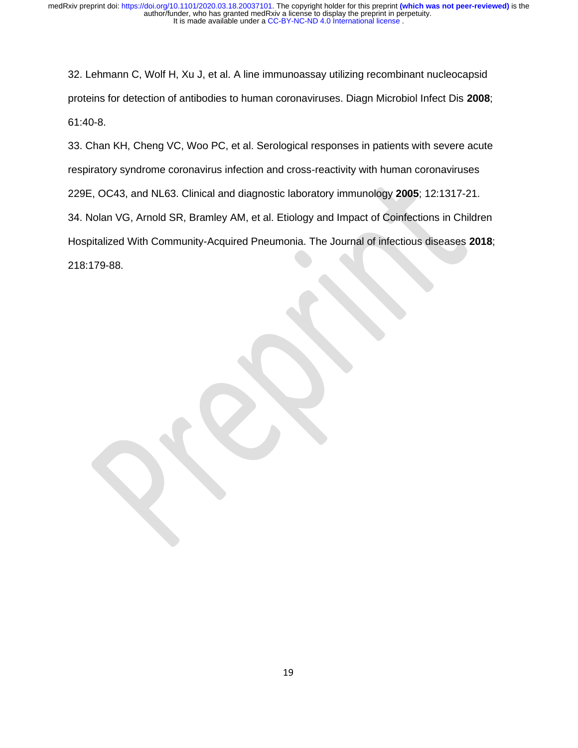32. Lehmann C, Wolf H, Xu J, et al. A line immunoassay utilizing recombinant nucleocapsid proteins for detection of antibodies to human coronaviruses. Diagn Microbiol Infect Dis **2008**; 61:40-8.

33. Chan KH, Cheng VC, Woo PC, et al. Serological responses in patients with severe acute respiratory syndrome coronavirus infection and cross-reactivity with human coronaviruses 229E, OC43, and NL63. Clinical and diagnostic laboratory immunology **2005**; 12:1317-21. 34. Nolan VG, Arnold SR, Bramley AM, et al. Etiology and Impact of Coinfections in Children Hospitalized With Community-Acquired Pneumonia. The Journal of infectious diseases **2018**; 218:179-88.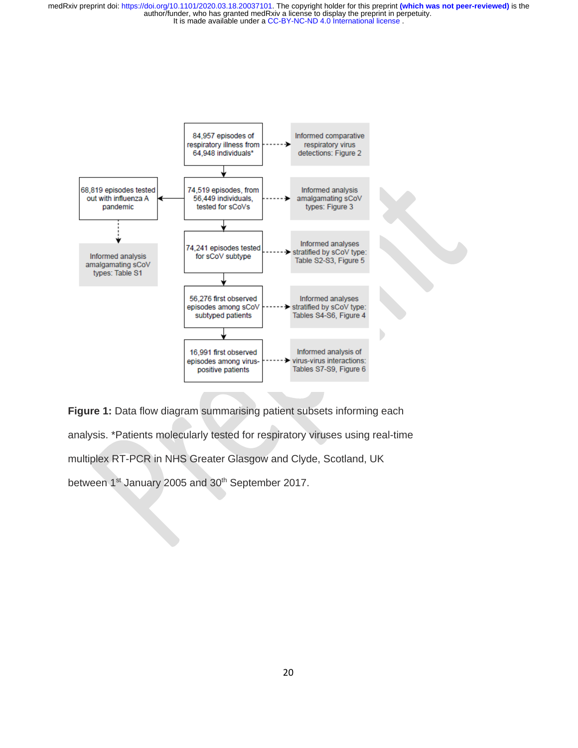

**Figure 1:** Data flow diagram summarising patient subsets informing each analysis. \*Patients molecularly tested for respiratory viruses using real-time multiplex RT-PCR in NHS Greater Glasgow and Clyde, Scotland, UK between 1<sup>st</sup> January 2005 and 30<sup>th</sup> September 2017.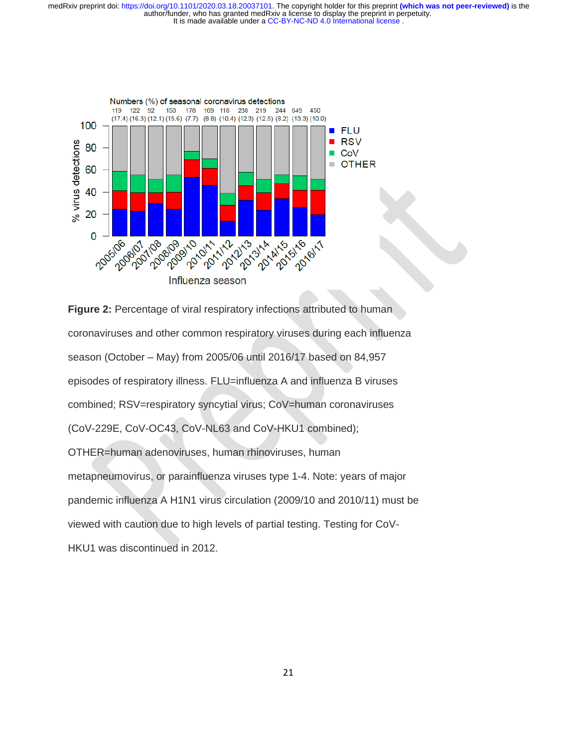

**Figure 2:** Percentage of viral respiratory infections attributed to human coronaviruses and other common respiratory viruses during each influenza season (October – May) from 2005/06 until 2016/17 based on 84,957 episodes of respiratory illness. FLU=influenza A and influenza B viruses combined; RSV=respiratory syncytial virus; CoV=human coronaviruses (CoV-229E, CoV-OC43, CoV-NL63 and CoV-HKU1 combined); OTHER=human adenoviruses, human rhinoviruses, human metapneumovirus, or parainfluenza viruses type 1-4. Note: years of major pandemic influenza A H1N1 virus circulation (2009/10 and 2010/11) must be viewed with caution due to high levels of partial testing. Testing for CoV-HKU1 was discontinued in 2012.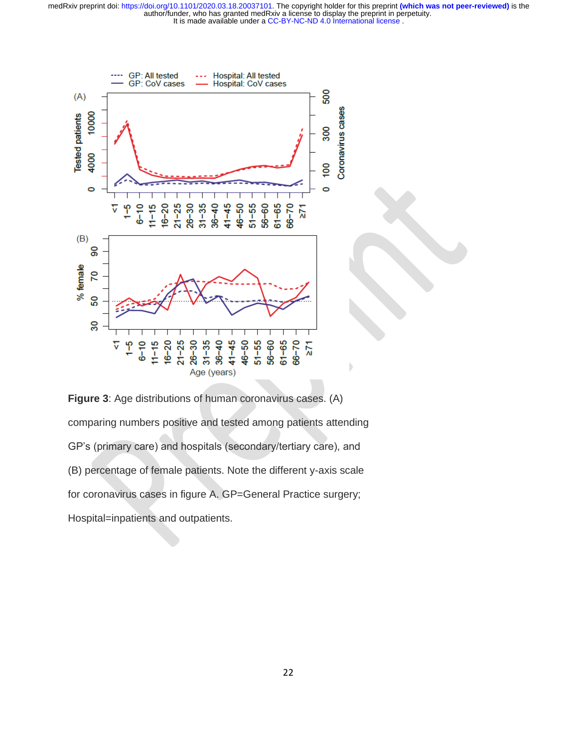

**Figure 3**: Age distributions of human coronavirus cases. (A) comparing numbers positive and tested among patients attending GP's (primary care) and hospitals (secondary/tertiary care), and (B) percentage of female patients. Note the different y-axis scale for coronavirus cases in figure A. GP=General Practice surgery; Hospital=inpatients and outpatients.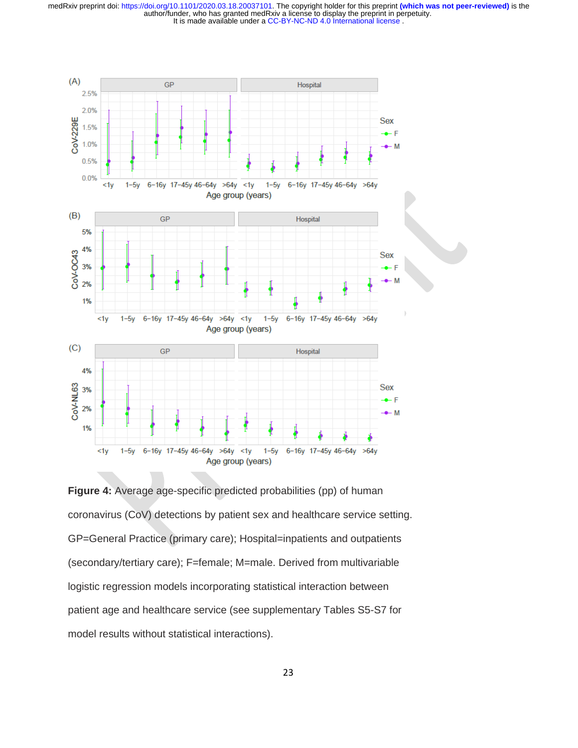

**Figure 4:** Average age-specific predicted probabilities (pp) of human coronavirus (CoV) detections by patient sex and healthcare service setting. GP=General Practice (primary care); Hospital=inpatients and outpatients (secondary/tertiary care); F=female; M=male. Derived from multivariable logistic regression models incorporating statistical interaction between patient age and healthcare service (see supplementary Tables S5-S7 for model results without statistical interactions).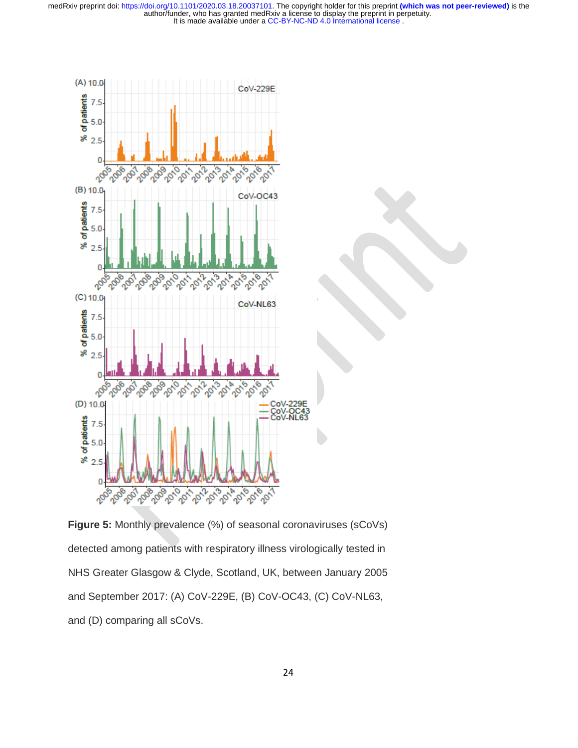

**Figure 5:** Monthly prevalence (%) of seasonal coronaviruses (sCoVs) detected among patients with respiratory illness virologically tested in NHS Greater Glasgow & Clyde, Scotland, UK, between January 2005 and September 2017: (A) CoV-229E, (B) CoV-OC43, (C) CoV-NL63, and (D) comparing all sCoVs.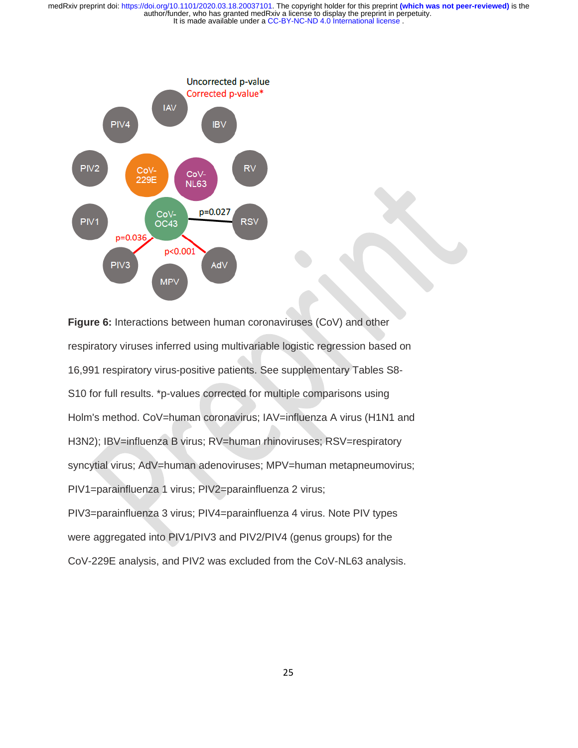

**Figure 6:** Interactions between human coronaviruses (CoV) and other respiratory viruses inferred using multivariable logistic regression based on 16,991 respiratory virus-positive patients. See supplementary Tables S8- S10 for full results. \*p-values corrected for multiple comparisons using Holm's method. CoV=human coronavirus; IAV=influenza A virus (H1N1 and H3N2); IBV=influenza B virus; RV=human rhinoviruses; RSV=respiratory syncytial virus; AdV=human adenoviruses; MPV=human metapneumovirus; PIV1=parainfluenza 1 virus; PIV2=parainfluenza 2 virus; PIV3=parainfluenza 3 virus; PIV4=parainfluenza 4 virus. Note PIV types were aggregated into PIV1/PIV3 and PIV2/PIV4 (genus groups) for the CoV-229E analysis, and PIV2 was excluded from the CoV-NL63 analysis.